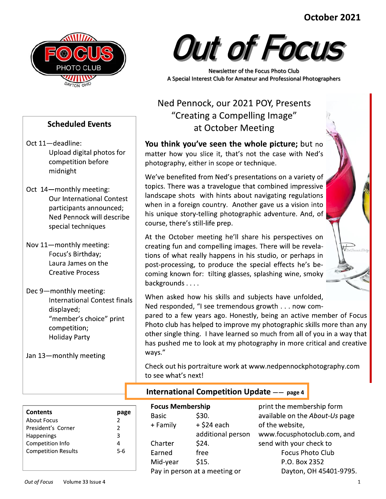## October 2021



**Scheduled Events** 

competition before

Upload digital photos for

**Our International Contest** 

Ned Pennock will describe

**International Contest finals** 

"member's choice" print

participants announced;

special techniques

Focus's Birthday:

**Creative Process** 

Laura James on the

Oct 11-deadline:

midnight

Oct 14-monthly meeting:

Nov 11-monthly meeting:

Dec 9-monthly meeting:

displayed;

competition;

**Holiday Party** 

Jan 13-monthly meeting



Newsletter of the Focus Photo Club A Special Interest Club for Amateur and Professional Photographers

# Ned Pennock, our 2021 POY, Presents "Creating a Compelling Image" at October Meeting

You think you've seen the whole picture; but no matter how you slice it, that's not the case with Ned's photography, either in scope or technique.

We've benefited from Ned's presentations on a variety of topics. There was a travelogue that combined impressive landscape shots with hints about navigating regulations when in a foreign country. Another gave us a vision into his unique story-telling photographic adventure. And, of course, there's still-life prep.

At the October meeting he'll share his perspectives on creating fun and compelling images. There will be revelations of what really happens in his studio, or perhaps in post-processing, to produce the special effects he's becoming known for: tilting glasses, splashing wine, smoky backgrounds . . . .

When asked how his skills and subjects have unfolded, Ned responded, "I see tremendous growth . . . now com-

pared to a few years ago. Honestly, being an active member of Focus Photo club has helped to improve my photographic skills more than any other single thing. I have learned so much from all of you in a way that has pushed me to look at my photography in more critical and creative ways."

Check out his portraiture work at www.nedpennockphotography.com to see what's next!

| <b>Contents</b>            |               |
|----------------------------|---------------|
| About Focus                | $\mathcal{P}$ |
| President's Corner         | $\mathcal{P}$ |
| Happenings                 | 3             |
| Competition Info           |               |
| <b>Competition Results</b> | 5-6           |
|                            |               |
|                            |               |

### **International Competition Update -- page 4**

| <b>Focus Membership</b> |                               | prir |
|-------------------------|-------------------------------|------|
| <b>Basic</b>            | \$30.                         | ava  |
| + Family                | $+$ \$24 each                 | of t |
|                         | additional person             | ww   |
| Charter                 | \$24.                         | sen  |
| Earned                  | free                          |      |
| Mid-year                | \$15.                         |      |
|                         | Pay in person at a meeting or |      |
|                         |                               |      |

nt the membership form ilable on the About-Us page he website, w.focusphotoclub.com, and d with your check to **Focus Photo Club** P.O. Box 2352 Dayton, OH 45401-9795.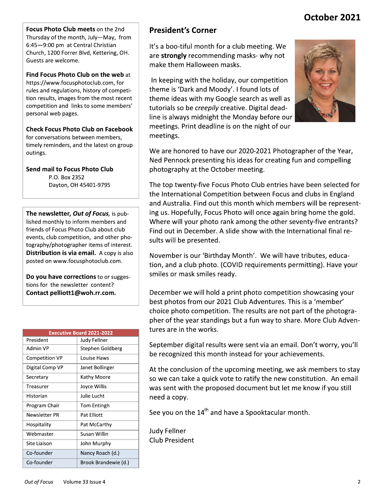## October 2021

Focus Photo Club meets on the 2nd Thursday of the month, July-May, from 6:45-9:00 pm at Central Christian Church, 1200 Forrer Blvd, Kettering, OH. Guests are welcome.

Find Focus Photo Club on the web at https://www.focusphotoclub.com, for rules and regulations, history of competition results, images from the most recent competition and links to some members' personal web pages.

**Check Focus Photo Club on Facebook** for conversations between members, timely reminders, and the latest on group outings.

Send mail to Focus Photo Club P.O. Box 2352 Dayton, OH 45401-9795

The newsletter, Out of Focus, is published monthly to inform members and friends of Focus Photo Club about club events, club competition, and other photography/photographer items of interest. Distribution is via email. A copy is also posted on www.focusphotoclub.com.

Do you have corrections to or suggestions for the newsletter content? Contact pelliott1@woh.rr.com.

|                 | <b>Executive Board 2021-2022</b> |
|-----------------|----------------------------------|
| President       | Judy Fellner                     |
| Admin VP        | Stephen Goldberg                 |
| Competition VP  | Louise Haws                      |
| Digital Comp VP | Janet Bollinger                  |
| Secretary       | Kathy Moore                      |
| Treasurer       | Joyce Willis                     |
| Historian       | Julie Lucht                      |
| Program Chair   | <b>Tom Entingh</b>               |
| Newsletter PR   | Pat Elliott                      |
| Hospitality     | Pat McCarthy                     |
| Webmaster       | Susan Willin                     |
| Site Liaison    | John Murphy                      |
| Co-founder      | Nancy Roach (d.)                 |
| Co-founder      | Brook Brandewie (d.)             |

## **President's Corner**

It's a boo-tiful month for a club meeting. We are strongly recommending masks- why not make them Halloween masks.

In keeping with the holiday, our competition theme is 'Dark and Moody'. I found lots of theme ideas with my Google search as well as tutorials so be *creepily* creative. Digital deadline is always midnight the Monday before our meetings. Print deadline is on the night of our meetings.



We are honored to have our 2020-2021 Photographer of the Year, Ned Pennock presenting his ideas for creating fun and compelling photography at the October meeting.

The top twenty-five Focus Photo Club entries have been selected for the International Competition between Focus and clubs in England and Australia. Find out this month which members will be representing us. Hopefully, Focus Photo will once again bring home the gold. Where will your photo rank among the other seventy-five entrants? Find out in December. A slide show with the International final results will be presented.

November is our 'Birthday Month'. We will have tributes, education, and a club photo. (COVID requirements permitting). Have your smiles or mask smiles ready.

December we will hold a print photo competition showcasing your best photos from our 2021 Club Adventures. This is a 'member' choice photo competition. The results are not part of the photographer of the year standings but a fun way to share. More Club Adventures are in the works.

September digital results were sent via an email. Don't worry, you'll be recognized this month instead for your achievements.

At the conclusion of the upcoming meeting, we ask members to stay so we can take a quick vote to ratify the new constitution. An email was sent with the proposed document but let me know if you still need a copy.

See you on the 14<sup>th</sup> and have a Spooktacular month.

**Judy Fellner Club President**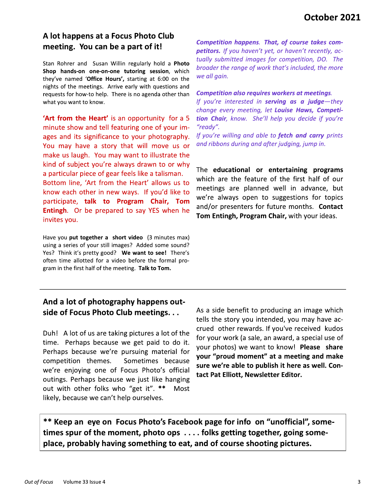## A lot happens at a Focus Photo Club meeting. You can be a part of it!

Stan Rohrer and Susan Willin regularly hold a Photo Shop hands-on one-on-one tutoring session, which they've named 'Office Hours', starting at 6:00 on the nights of the meetings. Arrive early with questions and requests for how-to help. There is no agenda other than what you want to know.

'Art from the Heart' is an opportunity for a 5 minute show and tell featuring one of your images and its significance to your photography. You may have a story that will move us or make us laugh. You may want to illustrate the kind of subject you're always drawn to or why a particular piece of gear feels like a talisman.

Bottom line, 'Art from the Heart' allows us to know each other in new ways. If you'd like to participate, talk to Program Chair, Tom Entingh. Or be prepared to say YES when he invites you.

Have you put together a short video (3 minutes max) using a series of your still images? Added some sound? Yes? Think it's pretty good? We want to see! There's often time allotted for a video before the formal program in the first half of the meeting. Talk to Tom.

Competition happens. That, of course takes competitors. If you haven't yet, or haven't recently, actually submitted images for competition, DO. The broader the range of work that's included, the more we all gain.

#### **Competition also requires workers at meetings.**

If you're interested in **serving as a judge**-they change every meeting, let Louise Haws, Competition Chair, know. She'll help you decide if you're "ready".

If you're willing and able to fetch and carry prints and ribbons during and after judging, jump in.

The educational or entertaining programs which are the feature of the first half of our meetings are planned well in advance, but we're always open to suggestions for topics and/or presenters for future months. Contact Tom Entingh, Program Chair, with your ideas.

### And a lot of photography happens outside of Focus Photo Club meetings...

Duh! A lot of us are taking pictures a lot of the time. Perhaps because we get paid to do it. Perhaps because we're pursuing material for competition themes. Sometimes because we're enjoying one of Focus Photo's official outings. Perhaps because we just like hanging out with other folks who "get it". \*\* Most likely, because we can't help ourselves.

As a side benefit to producing an image which tells the story you intended, you may have accrued other rewards. If you've received kudos for your work (a sale, an award, a special use of your photos) we want to know! Please share your "proud moment" at a meeting and make sure we're able to publish it here as well. Contact Pat Elliott, Newsletter Editor.

\*\* Keep an eye on Focus Photo's Facebook page for info on "unofficial", sometimes spur of the moment, photo ops  $\dots$  folks getting together, going someplace, probably having something to eat, and of course shooting pictures.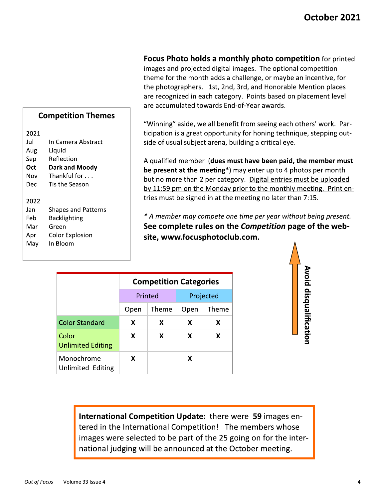**Focus Photo holds a monthly photo competition for printed** 

images and projected digital images. The optional competition theme for the month adds a challenge, or maybe an incentive, for the photographers. 1st, 2nd, 3rd, and Honorable Mention places are recognized in each category. Points based on placement level are accumulated towards End-of-Year awards.

"Winning" aside, we all benefit from seeing each others' work. Participation is a great opportunity for honing technique, stepping outside of usual subject arena, building a critical eye.

A qualified member (dues must have been paid, the member must be present at the meeting\*) may enter up to 4 photos per month but no more than 2 per category. Digital entries must be uploaded by 11:59 pm on the Monday prior to the monthly meeting. Print entries must be signed in at the meeting no later than 7:15.

\* A member may compete one time per year without being present. See complete rules on the Competition page of the website, www.focusphotoclub.com.

|                                        |      | <b>Competition Categories</b> |      |           |
|----------------------------------------|------|-------------------------------|------|-----------|
|                                        |      | Printed                       |      | Projected |
|                                        | Open | Theme                         | Open | Theme     |
| <b>Color Standard</b>                  | x    | х                             | x    | х         |
| Color<br><b>Unlimited Editing</b>      | X    | x                             | x    | x         |
| Monochrome<br><b>Unlimited Editing</b> | x    |                               | х    |           |

Avoid disqualification

International Competition Update: there were 59 images entered in the International Competition! The members whose images were selected to be part of the 25 going on for the international judging will be announced at the October meeting.

### **Competition Themes**

2021

| Jul  | In Camera Abstract         |
|------|----------------------------|
| Aug  | Liquid                     |
| Sep  | Reflection                 |
| Oct  | Dark and Moody             |
| Nov  | Thankful for               |
| Dec  | Tis the Season             |
|      |                            |
|      |                            |
| 2022 |                            |
| Jan  | <b>Shapes and Patterns</b> |
| Feb  | Backlighting               |
| Mar  | Green                      |
| Apr  | Color Explosion            |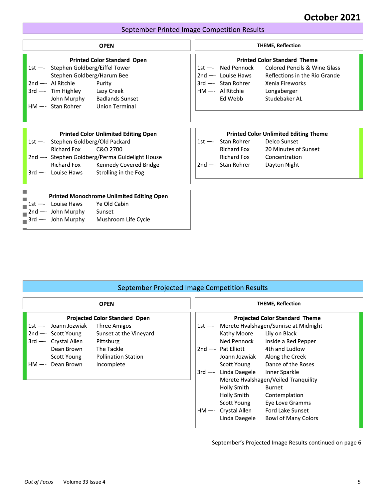### September Printed Image Competition Results

|                                                                                                                                                                                                                                                              | October 2021<br>September Printed Image Competition Results                                                                                                                                                                                                         |
|--------------------------------------------------------------------------------------------------------------------------------------------------------------------------------------------------------------------------------------------------------------|---------------------------------------------------------------------------------------------------------------------------------------------------------------------------------------------------------------------------------------------------------------------|
| <b>OPEN</b>                                                                                                                                                                                                                                                  | <b>THEME, Reflection</b>                                                                                                                                                                                                                                            |
| <b>Printed Color Standard Open</b><br>1st -- Stephen Goldberg/Eiffel Tower<br>Stephen Goldberg/Harum Bee<br>$2nd$ -- Al Ritchie<br>Purity<br>$3rd$ —- Tim Highley<br>Lazy Creek<br>John Murphy Badlands Sunset<br>HM —- Stan Rohrer<br><b>Union Terminal</b> | <b>Printed Color Standard Theme</b><br>1st -- Ned Pennock<br><b>Colored Pencils &amp; Wine Glass</b><br>2nd -- Louise Haws<br>Reflections in the Rio Grande<br>3rd -- Stan Rohrer<br>Xenia Fireworks<br>HM -- Al Ritchie<br>Longaberger<br>Studebaker AL<br>Ed Webb |
| <b>Printed Color Unlimited Editing Open</b><br>1st -- Stephen Goldberg/Old Packard<br><b>Richard Fox</b><br>C&O 2700<br>2nd -- Stephen Goldberg/Perma Guidelight House<br>Richard Fox Kennedy Covered Bridge<br>3rd -- Louise Haws<br>Strolling in the Fog   | <b>Printed Color Unlimited Editing Theme</b><br>1st -- Stan Rohrer<br>Delco Sunset<br>20 Minutes of Sunset<br>Richard Fox<br>Richard Fox<br>Concentration<br>$2nd$ -- Stan Rohrer<br>Dayton Night                                                                   |
| <b>Printed Monochrome Unlimited Editing Open</b><br>Ye Old Cabin<br>$1st$ -- Louise Haws<br>-- John Murphy<br>Sunset<br>2nd<br>Mushroom Life Cycle<br>$3rd$ -- John Murphy                                                                                   |                                                                                                                                                                                                                                                                     |

### September Projected Image Competition Results

|                                                                                    | September Projected Image Competition Results                                         |
|------------------------------------------------------------------------------------|---------------------------------------------------------------------------------------|
| <b>OPEN</b>                                                                        | <b>THEME, Reflection</b>                                                              |
| <b>Projected Color Standard Open</b><br>Joann Jozwiak<br>Three Amigos<br>$1st - -$ | <b>Projected Color Standard Theme</b><br>1st -- Merete Hvalshagen/Sunrise at Midnight |
| Sunset at the Vineyard<br>$2nd$ -- Scott Young                                     | Kathy Moore<br>Lily on Black                                                          |
| Crystal Allen<br>Pittsburg<br>$3rd - -$<br>Dean Brown<br>The Tackle                | Ned Pennock<br>Inside a Red Pepper<br>4th and Ludlow<br>$2nd$ -- Pat Elliott          |
| <b>Pollination Station</b><br>Scott Young<br>Dean Brown                            | Joann Jozwiak<br>Along the Creek<br>Dance of the Roses                                |
| Incomplete<br>HM —-                                                                | Scott Young<br>3rd -- Linda Daegele<br>Inner Sparkle                                  |
|                                                                                    | Merete Hvalshagen/Veiled Tranquility                                                  |
|                                                                                    | Holly Smith<br>Burnet                                                                 |
|                                                                                    | Holly Smith<br>Contemplation                                                          |
|                                                                                    | Scott Young<br>Eye Love Gramms                                                        |
|                                                                                    | <b>Ford Lake Sunset</b><br>HM -- Crystal Allen                                        |
|                                                                                    | <b>Bowl of Many Colors</b><br>Linda Daegele                                           |

September's Projected Image Results continued on page 6